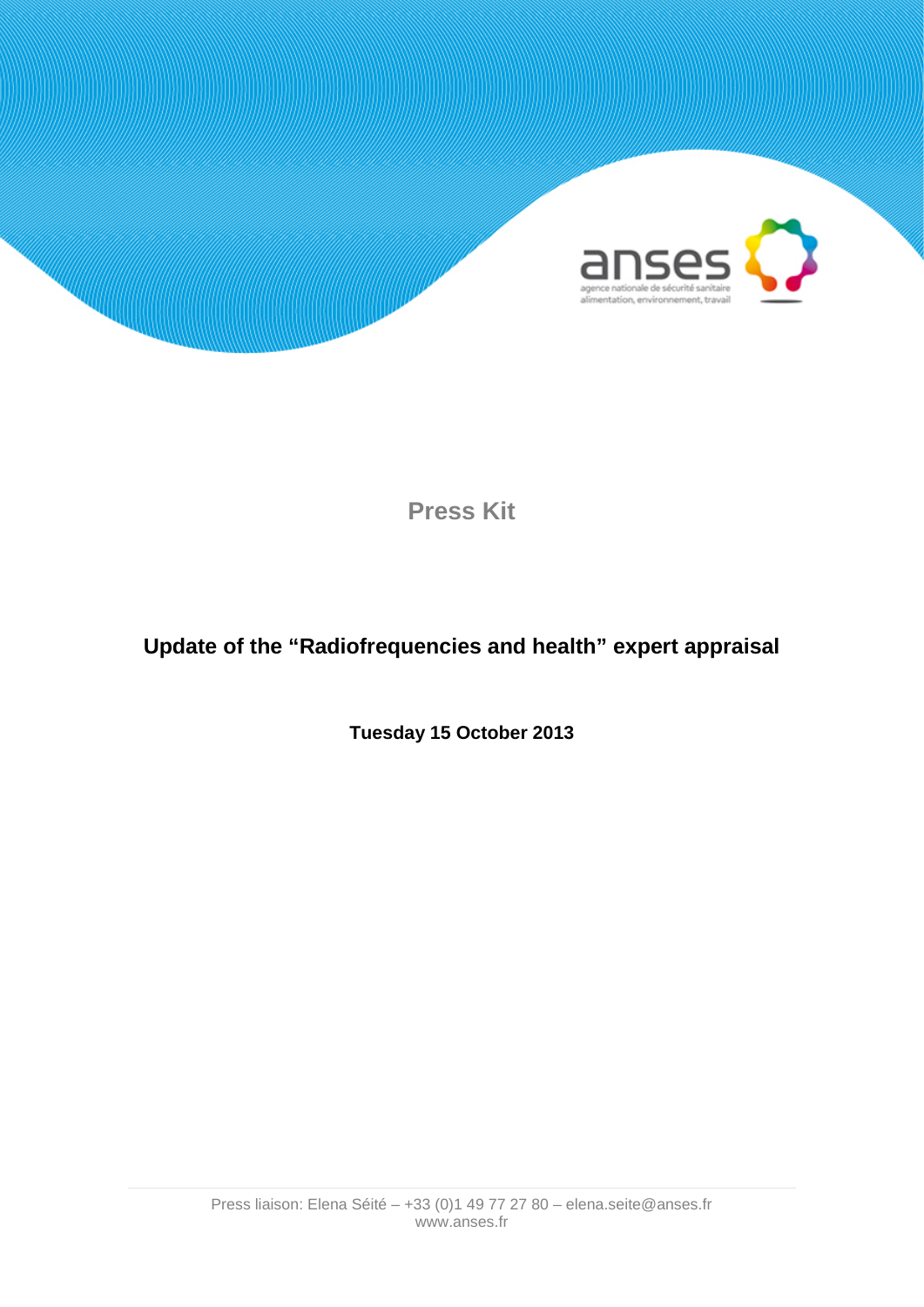

# **Press Kit**

# **Update of the "Radiofrequencies and health" expert appraisal**

**Tuesday 15 October 2013**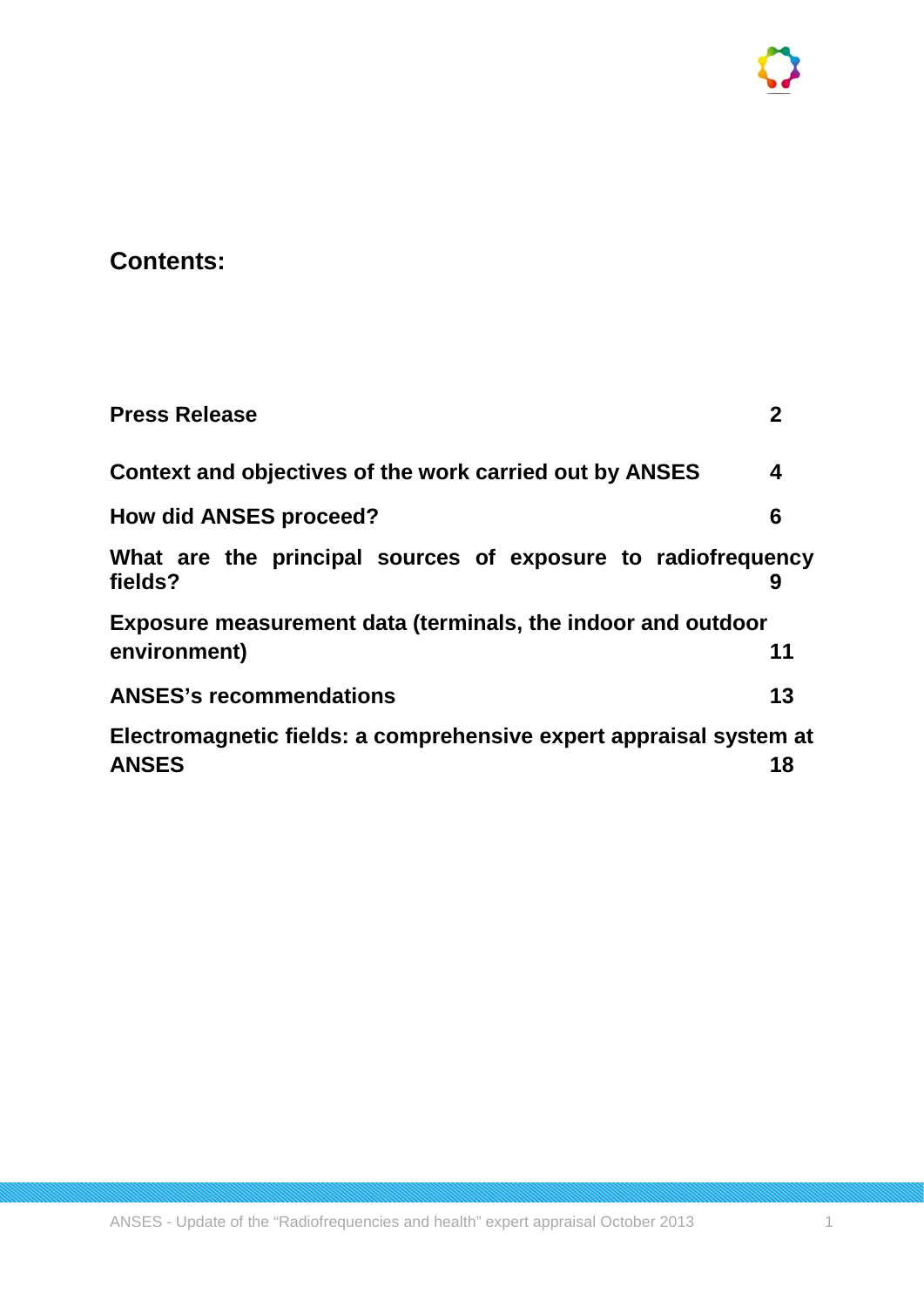# **Contents:**

| <b>Press Release</b>                                                    | 2  |
|-------------------------------------------------------------------------|----|
| Context and objectives of the work carried out by ANSES                 | 4  |
| <b>How did ANSES proceed?</b>                                           | 6  |
| What are the principal sources of exposure to radiofrequency<br>fields? |    |
| <b>Exposure measurement data (terminals, the indoor and outdoor</b>     |    |
| environment)                                                            | 11 |
| <b>ANSES's recommendations</b>                                          | 13 |
| Electromagnetic fields: a comprehensive expert appraisal system at      |    |
| <b>ANSES</b>                                                            | 18 |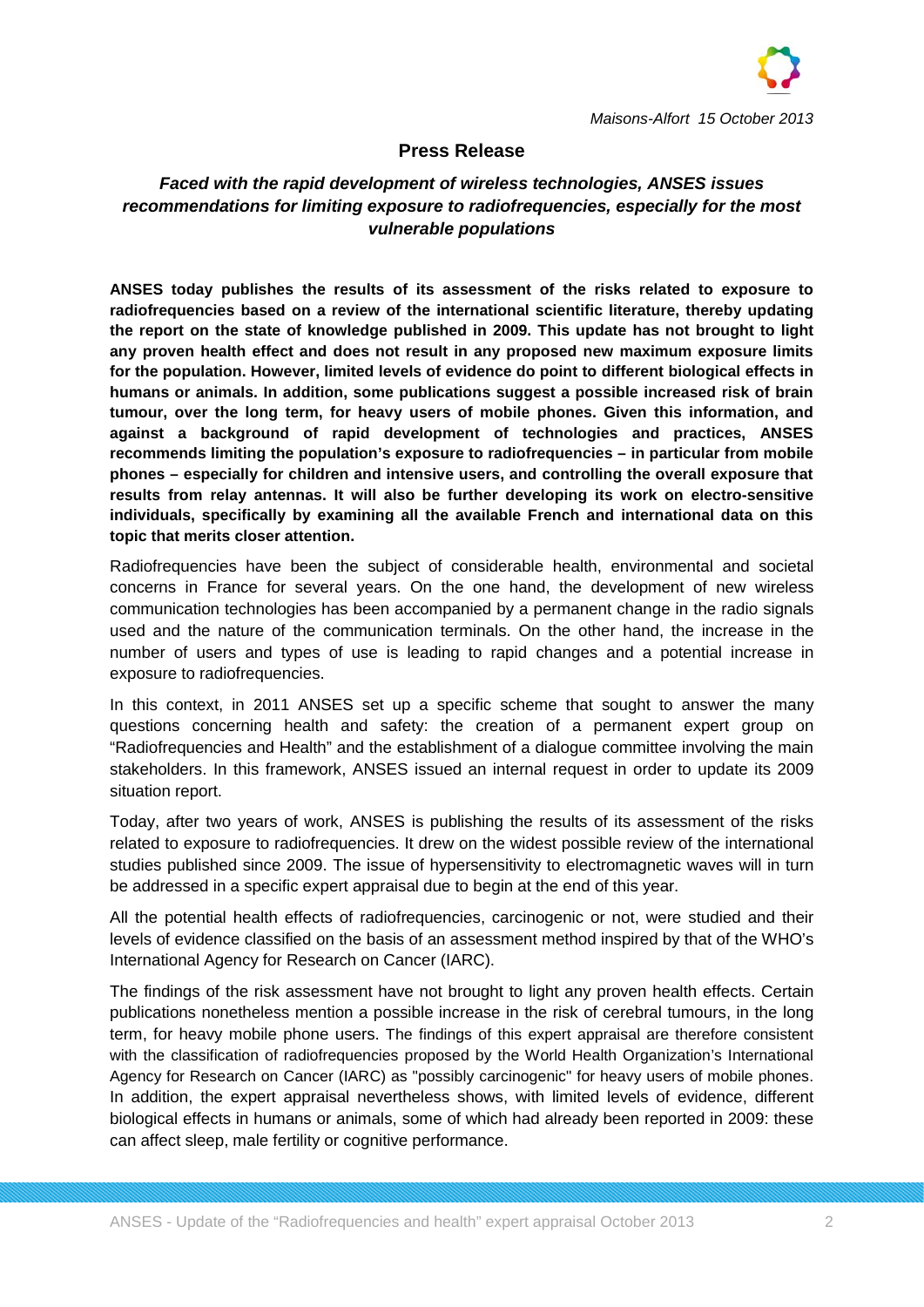

## **Press Release**

## *Faced with the rapid development of wireless technologies, ANSES issues recommendations for limiting exposure to radiofrequencies, especially for the most vulnerable populations*

**ANSES today publishes the results of its assessment of the risks related to exposure to radiofrequencies based on a review of the international scientific literature, thereby updating the report on the state of knowledge published in 2009. This update has not brought to light any proven health effect and does not result in any proposed new maximum exposure limits for the population. However, limited levels of evidence do point to different biological effects in humans or animals. In addition, some publications suggest a possible increased risk of brain tumour, over the long term, for heavy users of mobile phones. Given this information, and against a background of rapid development of technologies and practices, ANSES recommends limiting the population's exposure to radiofrequencies – in particular from mobile phones – especially for children and intensive users, and controlling the overall exposure that results from relay antennas. It will also be further developing its work on electro-sensitive individuals, specifically by examining all the available French and international data on this topic that merits closer attention.**

Radiofrequencies have been the subject of considerable health, environmental and societal concerns in France for several years. On the one hand, the development of new wireless communication technologies has been accompanied by a permanent change in the radio signals used and the nature of the communication terminals. On the other hand, the increase in the number of users and types of use is leading to rapid changes and a potential increase in exposure to radiofrequencies.

In this context, in 2011 ANSES set up a specific scheme that sought to answer the many questions concerning health and safety: the creation of a permanent expert group on "Radiofrequencies and Health" and the establishment of a dialogue committee involving the main stakeholders. In this framework, ANSES issued an internal request in order to update its 2009 situation report.

Today, after two years of work, ANSES is publishing the results of its assessment of the risks related to exposure to radiofrequencies. It drew on the widest possible review of the international studies published since 2009. The issue of hypersensitivity to electromagnetic waves will in turn be addressed in a specific expert appraisal due to begin at the end of this year.

All the potential health effects of radiofrequencies, carcinogenic or not, were studied and their levels of evidence classified on the basis of an assessment method inspired by that of the WHO's International Agency for Research on Cancer (IARC).

The findings of the risk assessment have not brought to light any proven health effects. Certain publications nonetheless mention a possible increase in the risk of cerebral tumours, in the long term, for heavy mobile phone users. The findings of this expert appraisal are therefore consistent with the classification of radiofrequencies proposed by the World Health Organization's International Agency for Research on Cancer (IARC) as "possibly carcinogenic" for heavy users of mobile phones. In addition, the expert appraisal nevertheless shows, with limited levels of evidence, different biological effects in humans or animals, some of which had already been reported in 2009: these can affect sleep, male fertility or cognitive performance.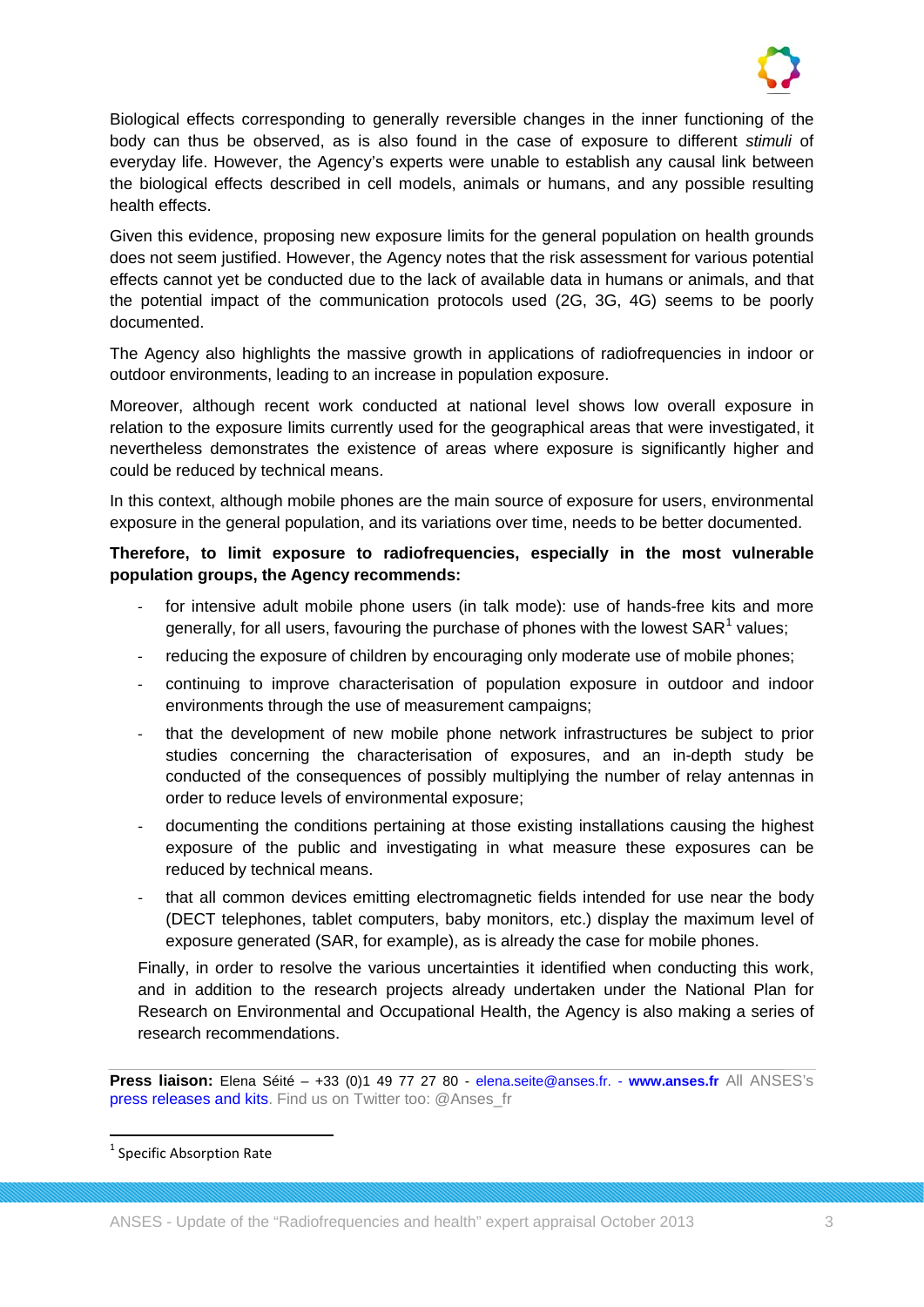

Biological effects corresponding to generally reversible changes in the inner functioning of the body can thus be observed, as is also found in the case of exposure to different *stimuli* of everyday life. However, the Agency's experts were unable to establish any causal link between the biological effects described in cell models, animals or humans, and any possible resulting health effects.

Given this evidence, proposing new exposure limits for the general population on health grounds does not seem justified. However, the Agency notes that the risk assessment for various potential effects cannot yet be conducted due to the lack of available data in humans or animals, and that the potential impact of the communication protocols used (2G, 3G, 4G) seems to be poorly documented.

The Agency also highlights the massive growth in applications of radiofrequencies in indoor or outdoor environments, leading to an increase in population exposure.

Moreover, although recent work conducted at national level shows low overall exposure in relation to the exposure limits currently used for the geographical areas that were investigated, it nevertheless demonstrates the existence of areas where exposure is significantly higher and could be reduced by technical means.

In this context, although mobile phones are the main source of exposure for users, environmental exposure in the general population, and its variations over time, needs to be better documented.

**Therefore, to limit exposure to radiofrequencies, especially in the most vulnerable population groups, the Agency recommends:**

- for intensive adult mobile phone users (in talk mode): use of hands-free kits and more generally, for all users, favouring the purchase of phones with the lowest  $SAR<sup>1</sup>$  $SAR<sup>1</sup>$  $SAR<sup>1</sup>$  values;
- reducing the exposure of children by encouraging only moderate use of mobile phones;
- continuing to improve characterisation of population exposure in outdoor and indoor environments through the use of measurement campaigns:
- that the development of new mobile phone network infrastructures be subject to prior studies concerning the characterisation of exposures, and an in-depth study be conducted of the consequences of possibly multiplying the number of relay antennas in order to reduce levels of environmental exposure;
- documenting the conditions pertaining at those existing installations causing the highest exposure of the public and investigating in what measure these exposures can be reduced by technical means.
- that all common devices emitting electromagnetic fields intended for use near the body (DECT telephones, tablet computers, baby monitors, etc.) display the maximum level of exposure generated (SAR, for example), as is already the case for mobile phones.

Finally, in order to resolve the various uncertainties it identified when conducting this work, and in addition to the research projects already undertaken under the National Plan for Research on Environmental and Occupational Health, the Agency is also making a series of research recommendations.

**Press liaison:** Elena Séité – +33 (0)1 49 77 27 80 - [elena.seite@anses.fr.](mailto:elena.seite@anses.fr) - **[www.anses.fr](http://www.anses.fr/)** All ANSES's [press releases and kits.](http://www.anses.fr/en/content/press-room) Find us on Twitter too: @Anses\_fr

<span id="page-3-0"></span><sup>&</sup>lt;sup>1</sup> Specific Absorption Rate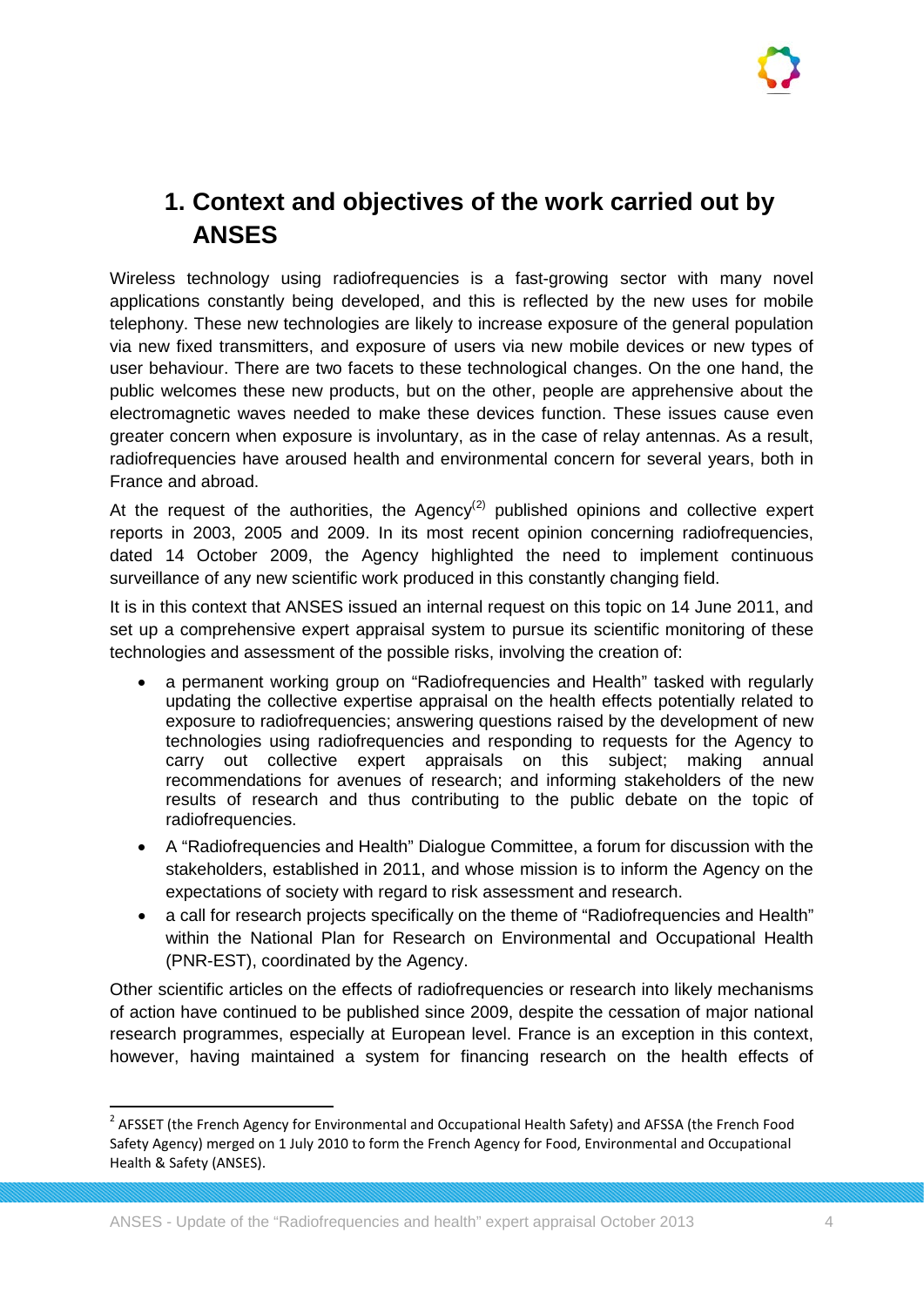# **1. Context and objectives of the work carried out by ANSES**

Wireless technology using radiofrequencies is a fast-growing sector with many novel applications constantly being developed, and this is reflected by the new uses for mobile telephony. These new technologies are likely to increase exposure of the general population via new fixed transmitters, and exposure of users via new mobile devices or new types of user behaviour. There are two facets to these technological changes. On the one hand, the public welcomes these new products, but on the other, people are apprehensive about the electromagnetic waves needed to make these devices function. These issues cause even greater concern when exposure is involuntary, as in the case of relay antennas. As a result, radiofrequencies have aroused health and environmental concern for several years, both in France and abroad.

At the request of the authorities, the Agency<sup>([2\)](#page-4-0)</sup> published opinions and collective expert reports in 2003, 2005 and 2009. In its most recent opinion concerning radiofrequencies, dated 14 October 2009, the Agency highlighted the need to implement continuous surveillance of any new scientific work produced in this constantly changing field.

It is in this context that ANSES issued an internal request on this topic on 14 June 2011, and set up a comprehensive expert appraisal system to pursue its scientific monitoring of these technologies and assessment of the possible risks, involving the creation of:

- a permanent working group on "Radiofrequencies and Health" tasked with regularly updating the collective expertise appraisal on the health effects potentially related to exposure to radiofrequencies; answering questions raised by the development of new technologies using radiofrequencies and responding to requests for the Agency to carry out collective expert appraisals on this subject; making annual recommendations for avenues of research; and informing stakeholders of the new results of research and thus contributing to the public debate on the topic of radiofrequencies.
- A "Radiofrequencies and Health" Dialogue Committee, a forum for discussion with the stakeholders, established in 2011, and whose mission is to inform the Agency on the expectations of society with regard to risk assessment and research.
- a call for research projects specifically on the theme of "Radiofrequencies and Health" within the National Plan for Research on Environmental and Occupational Health (PNR-EST), coordinated by the Agency.

Other scientific articles on the effects of radiofrequencies or research into likely mechanisms of action have continued to be published since 2009, despite the cessation of major national research programmes, especially at European level. France is an exception in this context, however, having maintained a system for financing research on the health effects of

<span id="page-4-0"></span><sup>&</sup>lt;sup>2</sup> AFSSET (the French Agency for Environmental and Occupational Health Safety) and AFSSA (the French Food Safety Agency) merged on 1 July 2010 to form the French Agency for Food, Environmental and Occupational Health & Safety (ANSES).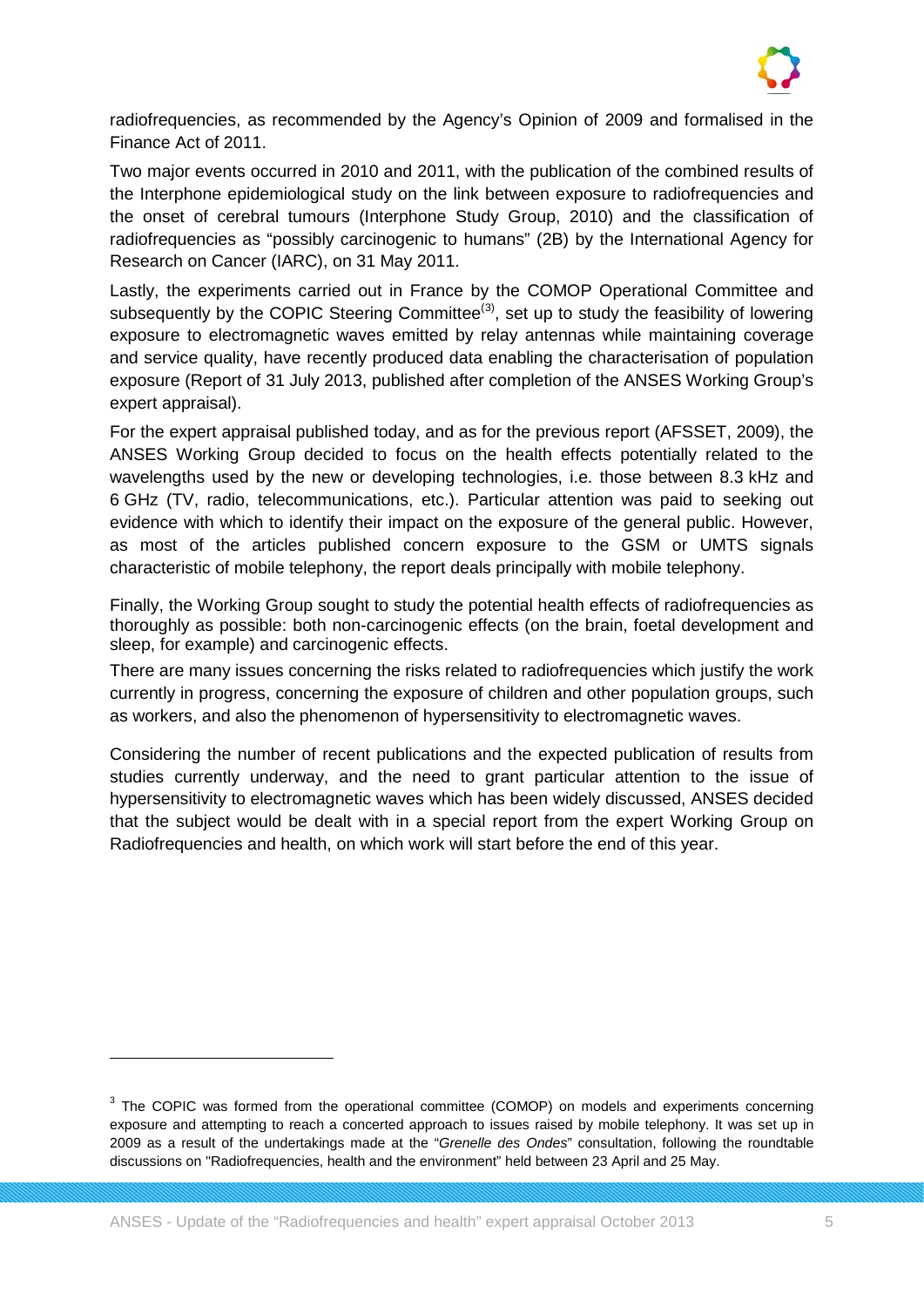

radiofrequencies, as recommended by the Agency's Opinion of 2009 and formalised in the Finance Act of 2011.

Two major events occurred in 2010 and 2011, with the publication of the combined results of the Interphone epidemiological study on the link between exposure to radiofrequencies and the onset of cerebral tumours (Interphone Study Group, 2010) and the classification of radiofrequencies as "possibly carcinogenic to humans" (2B) by the International Agency for Research on Cancer (IARC), on 31 May 2011.

Lastly, the experiments carried out in France by the COMOP Operational Committee and subsequently by the COPIC Steering Committee<sup>([3\)](#page-5-0)</sup>, set up to study the feasibility of lowering exposure to electromagnetic waves emitted by relay antennas while maintaining coverage and service quality, have recently produced data enabling the characterisation of population exposure (Report of 31 July 2013, published after completion of the ANSES Working Group's expert appraisal).

For the expert appraisal published today, and as for the previous report (AFSSET, 2009), the ANSES Working Group decided to focus on the health effects potentially related to the wavelengths used by the new or developing technologies, i.e. those between 8.3 kHz and 6 GHz (TV, radio, telecommunications, etc.). Particular attention was paid to seeking out evidence with which to identify their impact on the exposure of the general public. However, as most of the articles published concern exposure to the GSM or UMTS signals characteristic of mobile telephony, the report deals principally with mobile telephony.

Finally, the Working Group sought to study the potential health effects of radiofrequencies as thoroughly as possible: both non-carcinogenic effects (on the brain, foetal development and sleep, for example) and carcinogenic effects.

There are many issues concerning the risks related to radiofrequencies which justify the work currently in progress, concerning the exposure of children and other population groups, such as workers, and also the phenomenon of hypersensitivity to electromagnetic waves.

Considering the number of recent publications and the expected publication of results from studies currently underway, and the need to grant particular attention to the issue of hypersensitivity to electromagnetic waves which has been widely discussed, ANSES decided that the subject would be dealt with in a special report from the expert Working Group on Radiofrequencies and health, on which work will start before the end of this year.

 $\overline{a}$ 

<span id="page-5-0"></span><sup>&</sup>lt;sup>3</sup> The COPIC was formed from the operational committee (COMOP) on models and experiments concerning exposure and attempting to reach a concerted approach to issues raised by mobile telephony. It was set up in 2009 as a result of the undertakings made at the "*Grenelle des Ondes*" consultation, following the roundtable discussions on ''Radiofrequencies, health and the environment" held between 23 April and 25 May.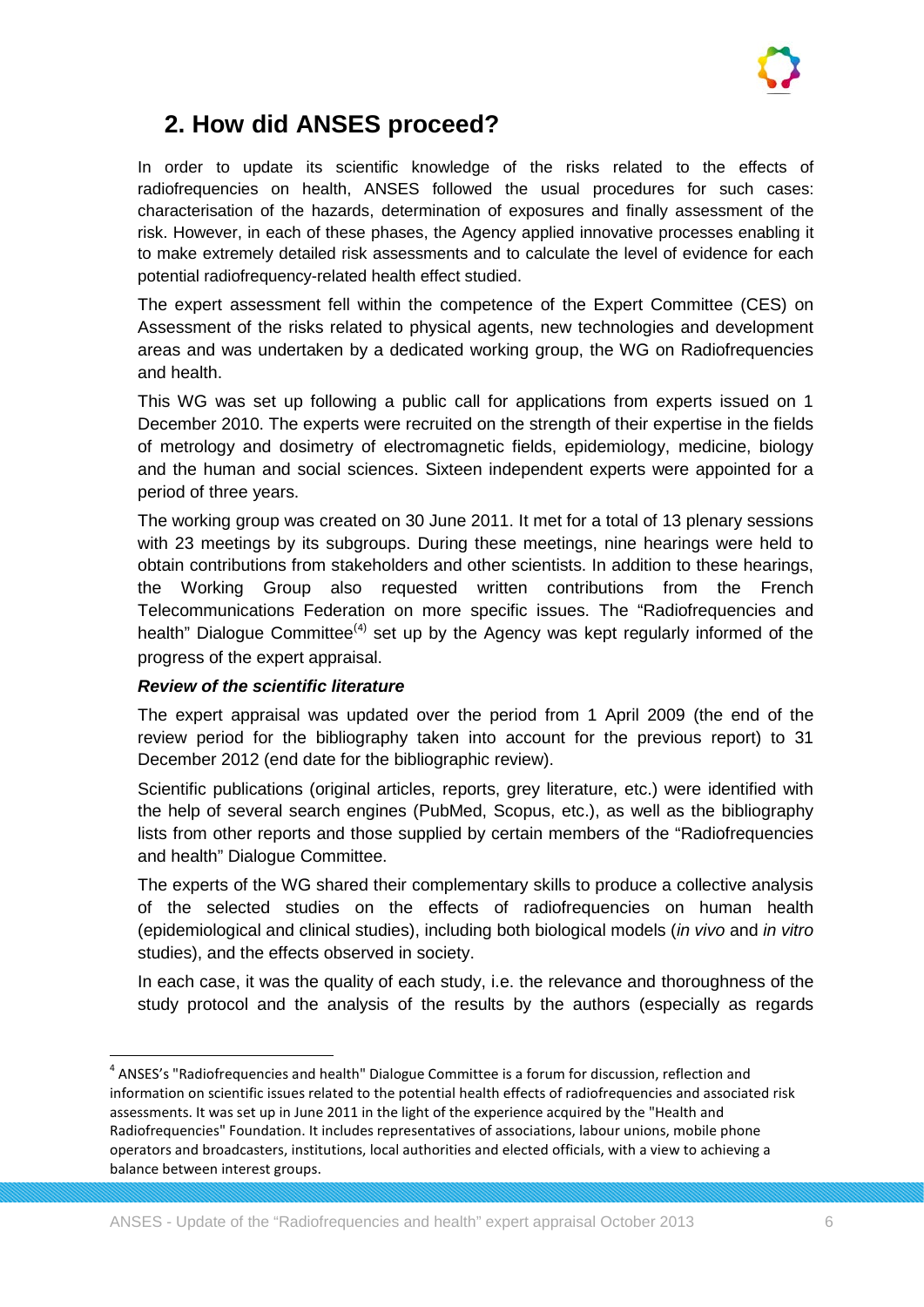

# **2. How did ANSES proceed?**

In order to update its scientific knowledge of the risks related to the effects of radiofrequencies on health, ANSES followed the usual procedures for such cases: characterisation of the hazards, determination of exposures and finally assessment of the risk. However, in each of these phases, the Agency applied innovative processes enabling it to make extremely detailed risk assessments and to calculate the level of evidence for each potential radiofrequency-related health effect studied.

The expert assessment fell within the competence of the Expert Committee (CES) on Assessment of the risks related to physical agents, new technologies and development areas and was undertaken by a dedicated working group, the WG on Radiofrequencies and health.

This WG was set up following a public call for applications from experts issued on 1 December 2010. The experts were recruited on the strength of their expertise in the fields of metrology and dosimetry of electromagnetic fields, epidemiology, medicine, biology and the human and social sciences. Sixteen independent experts were appointed for a period of three years.

The working group was created on 30 June 2011. It met for a total of 13 plenary sessions with 23 meetings by its subgroups. During these meetings, nine hearings were held to obtain contributions from stakeholders and other scientists. In addition to these hearings, the Working Group also requested written contributions from the French Telecommunications Federation on more specific issues. The "Radiofrequencies and health" Dialogue Committee<sup>([4](#page-6-0))</sup> set up by the Agency was kept regularly informed of the progress of the expert appraisal.

## *Review of the scientific literature*

The expert appraisal was updated over the period from 1 April 2009 (the end of the review period for the bibliography taken into account for the previous report) to 31 December 2012 (end date for the bibliographic review).

Scientific publications (original articles, reports, grey literature, etc.) were identified with the help of several search engines (PubMed, Scopus, etc.), as well as the bibliography lists from other reports and those supplied by certain members of the "Radiofrequencies and health" Dialogue Committee.

The experts of the WG shared their complementary skills to produce a collective analysis of the selected studies on the effects of radiofrequencies on human health (epidemiological and clinical studies), including both biological models (*in vivo* and *in vitro* studies), and the effects observed in society.

In each case, it was the quality of each study, i.e. the relevance and thoroughness of the study protocol and the analysis of the results by the authors (especially as regards

<span id="page-6-0"></span><sup>&</sup>lt;sup>4</sup> ANSES's "Radiofrequencies and health" Dialogue Committee is a forum for discussion, reflection and information on scientific issues related to the potential health effects of radiofrequencies and associated risk assessments. It was set up in June 2011 in the light of the experience acquired by the "Health and Radiofrequencies" Foundation. It includes representatives of associations, labour unions, mobile phone operators and broadcasters, institutions, local authorities and elected officials, with a view to achieving a balance between interest groups.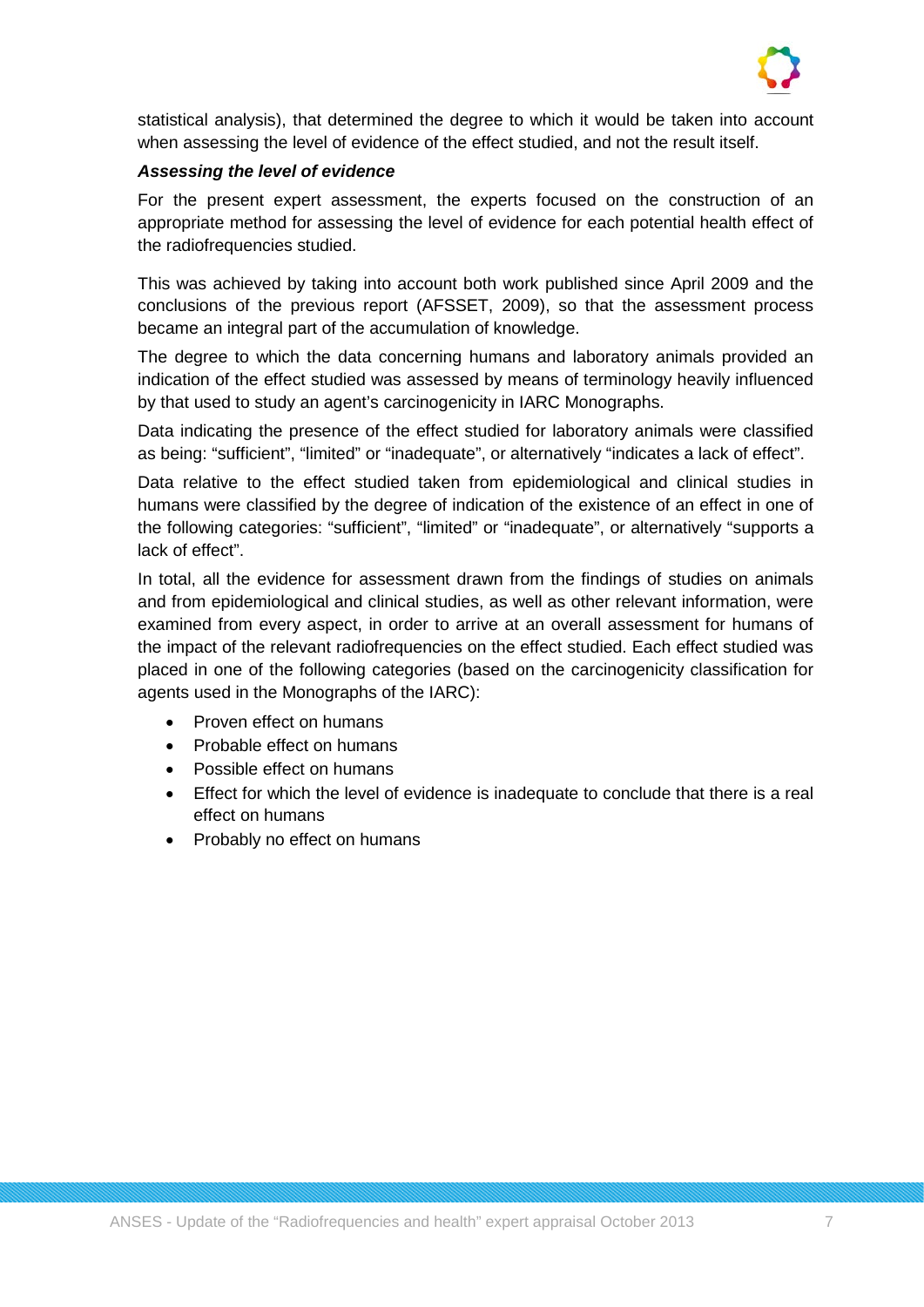

statistical analysis), that determined the degree to which it would be taken into account when assessing the level of evidence of the effect studied, and not the result itself.

## *Assessing the level of evidence*

For the present expert assessment, the experts focused on the construction of an appropriate method for assessing the level of evidence for each potential health effect of the radiofrequencies studied.

This was achieved by taking into account both work published since April 2009 and the conclusions of the previous report (AFSSET, 2009), so that the assessment process became an integral part of the accumulation of knowledge.

The degree to which the data concerning humans and laboratory animals provided an indication of the effect studied was assessed by means of terminology heavily influenced by that used to study an agent's carcinogenicity in IARC Monographs.

Data indicating the presence of the effect studied for laboratory animals were classified as being: "sufficient", "limited" or "inadequate", or alternatively "indicates a lack of effect".

Data relative to the effect studied taken from epidemiological and clinical studies in humans were classified by the degree of indication of the existence of an effect in one of the following categories: "sufficient", "limited" or "inadequate", or alternatively "supports a lack of effect".

In total, all the evidence for assessment drawn from the findings of studies on animals and from epidemiological and clinical studies, as well as other relevant information, were examined from every aspect, in order to arrive at an overall assessment for humans of the impact of the relevant radiofrequencies on the effect studied. Each effect studied was placed in one of the following categories (based on the carcinogenicity classification for agents used in the Monographs of the IARC):

- Proven effect on humans
- Probable effect on humans
- Possible effect on humans
- Effect for which the level of evidence is inadequate to conclude that there is a real effect on humans
- Probably no effect on humans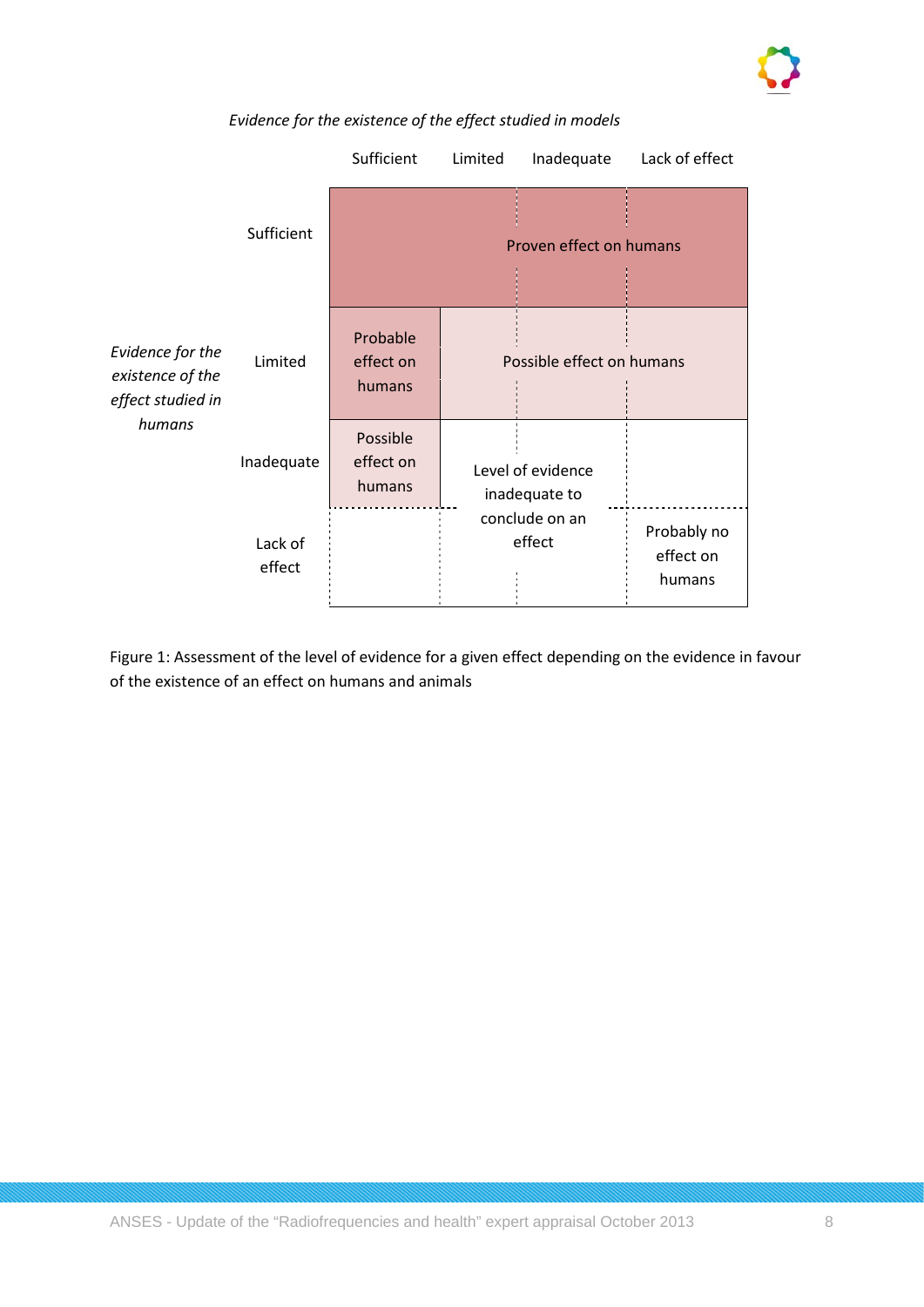

|                                                                     |                   | Sufficient                      | Limited | Inadequate                         | Lack of effect                     |
|---------------------------------------------------------------------|-------------------|---------------------------------|---------|------------------------------------|------------------------------------|
| Evidence for the<br>existence of the<br>effect studied in<br>humans | Sufficient        |                                 |         | Proven effect on humans            |                                    |
|                                                                     | Limited           | Probable<br>effect on<br>humans |         | Possible effect on humans          |                                    |
|                                                                     | Inadequate        | Possible<br>effect on<br>humans |         | Level of evidence<br>inadequate to |                                    |
|                                                                     | Lack of<br>effect |                                 |         | conclude on an<br>effect           | Probably no<br>effect on<br>humans |

## *Evidence for the existence of the effect studied in models*

Figure 1: Assessment of the level of evidence for a given effect depending on the evidence in favour of the existence of an effect on humans and animals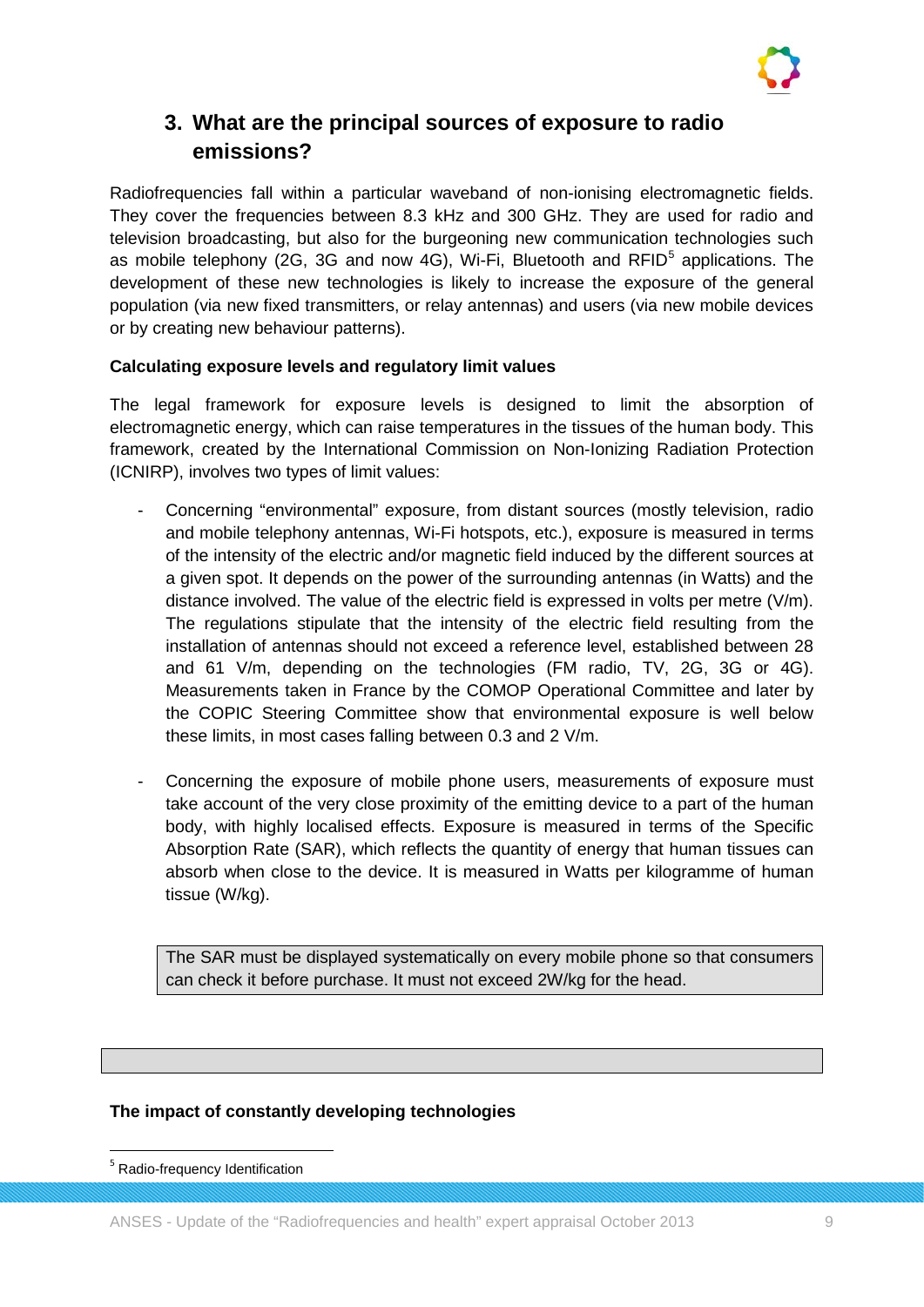

## **3. What are the principal sources of exposure to radio emissions?**

Radiofrequencies fall within a particular waveband of non-ionising electromagnetic fields. They cover the frequencies between 8.3 kHz and 300 GHz. They are used for radio and television broadcasting, but also for the burgeoning new communication technologies such as mobile telephony (2G, 3G and now 4G), Wi-Fi, Bluetooth and  $RFID<sup>5</sup>$  $RFID<sup>5</sup>$  $RFID<sup>5</sup>$  applications. The development of these new technologies is likely to increase the exposure of the general population (via new fixed transmitters, or relay antennas) and users (via new mobile devices or by creating new behaviour patterns).

## **Calculating exposure levels and regulatory limit values**

The legal framework for exposure levels is designed to limit the absorption of electromagnetic energy, which can raise temperatures in the tissues of the human body. This framework, created by the International Commission on Non-Ionizing Radiation Protection (ICNIRP), involves two types of limit values:

- Concerning "environmental" exposure, from distant sources (mostly television, radio and mobile telephony antennas, Wi-Fi hotspots, etc.), exposure is measured in terms of the intensity of the electric and/or magnetic field induced by the different sources at a given spot. It depends on the power of the surrounding antennas (in Watts) and the distance involved. The value of the electric field is expressed in volts per metre (V/m). The regulations stipulate that the intensity of the electric field resulting from the installation of antennas should not exceed a reference level, established between 28 and 61 V/m, depending on the technologies (FM radio, TV, 2G, 3G or 4G). Measurements taken in France by the COMOP Operational Committee and later by the COPIC Steering Committee show that environmental exposure is well below these limits, in most cases falling between 0.3 and 2 V/m.
- Concerning the exposure of mobile phone users, measurements of exposure must take account of the very close proximity of the emitting device to a part of the human body, with highly localised effects. Exposure is measured in terms of the Specific Absorption Rate (SAR), which reflects the quantity of energy that human tissues can absorb when close to the device. It is measured in Watts per kilogramme of human tissue (W/kg).

The SAR must be displayed systematically on every mobile phone so that consumers can check it before purchase. It must not exceed 2W/kg for the head.

## **The impact of constantly developing technologies**

<span id="page-9-0"></span> <sup>5</sup> Radio-frequency Identification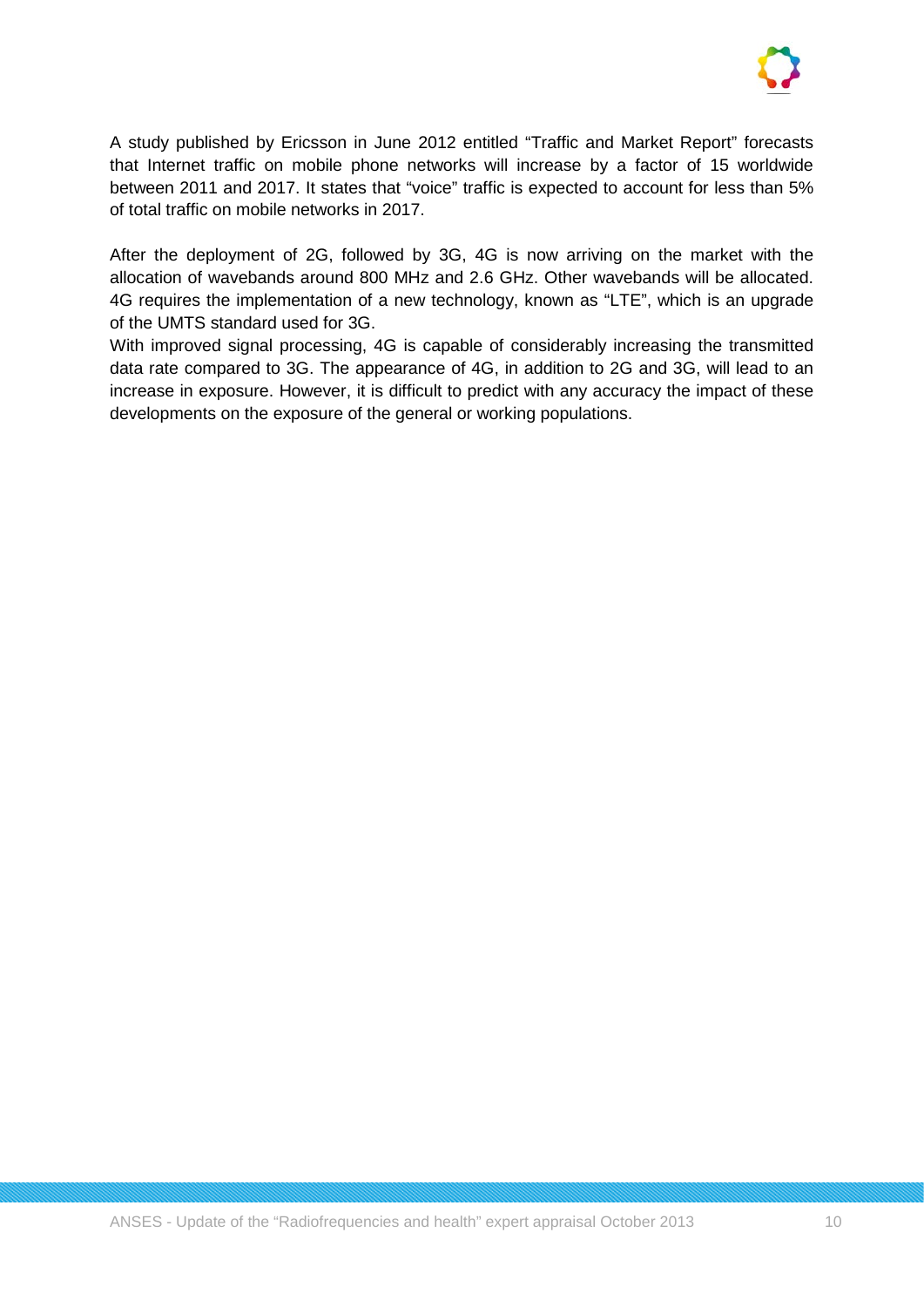

A study published by Ericsson in June 2012 entitled "Traffic and Market Report" forecasts that Internet traffic on mobile phone networks will increase by a factor of 15 worldwide between 2011 and 2017. It states that "voice" traffic is expected to account for less than 5% of total traffic on mobile networks in 2017.

After the deployment of 2G, followed by 3G, 4G is now arriving on the market with the allocation of wavebands around 800 MHz and 2.6 GHz. Other wavebands will be allocated. 4G requires the implementation of a new technology, known as "LTE", which is an upgrade of the UMTS standard used for 3G.

With improved signal processing, 4G is capable of considerably increasing the transmitted data rate compared to 3G. The appearance of 4G, in addition to 2G and 3G, will lead to an increase in exposure. However, it is difficult to predict with any accuracy the impact of these developments on the exposure of the general or working populations.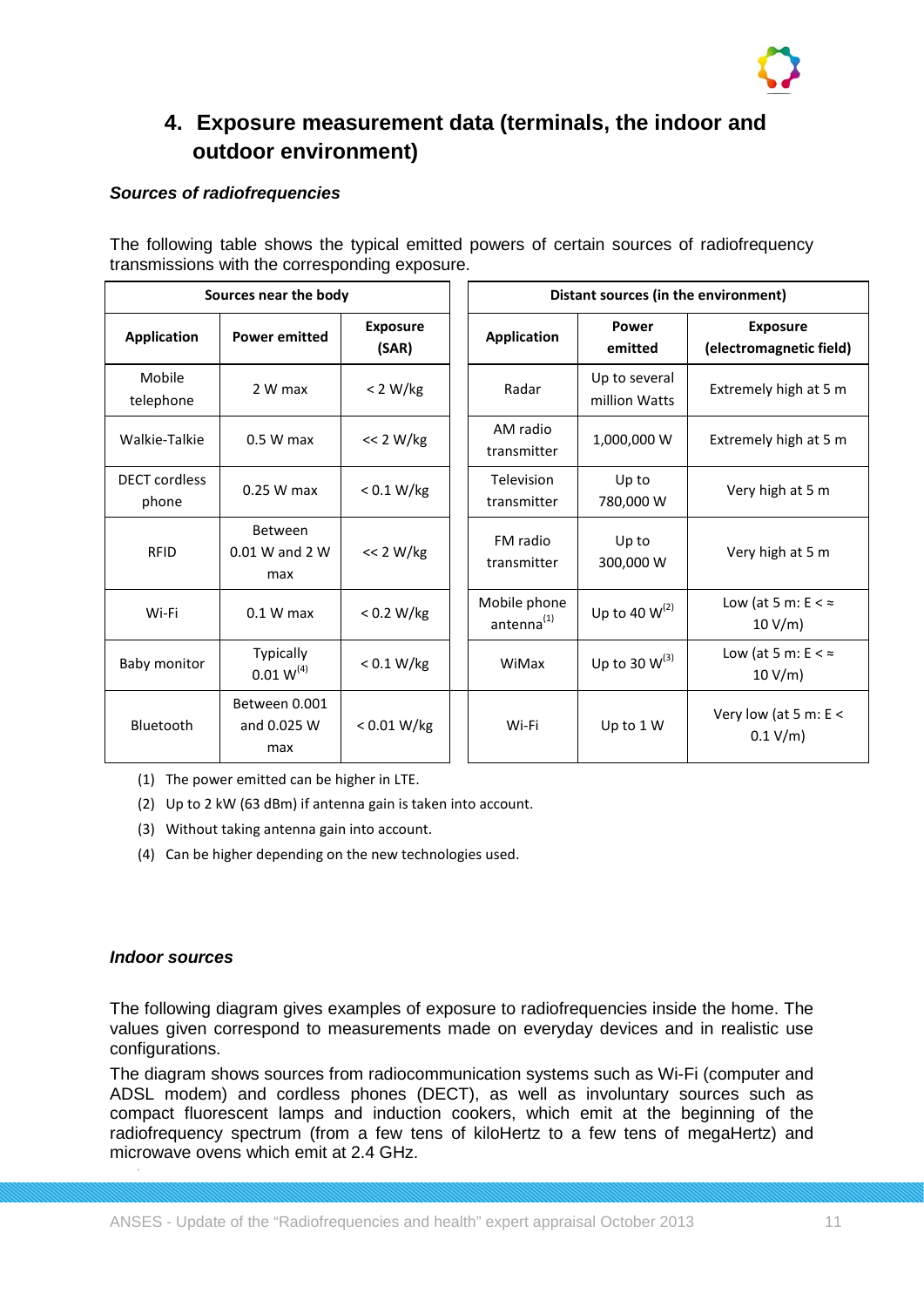

## **4. Exposure measurement data (terminals, the indoor and outdoor environment)**

## *Sources of radiofrequencies*

The following table shows the typical emitted powers of certain sources of radiofrequency transmissions with the corresponding exposure.

| Sources near the body         |                                     | Distant sources (in the environment) |                                        |                                |                                            |
|-------------------------------|-------------------------------------|--------------------------------------|----------------------------------------|--------------------------------|--------------------------------------------|
| <b>Application</b>            | <b>Power emitted</b>                | <b>Exposure</b><br>(SAR)             | <b>Application</b>                     | <b>Power</b><br>emitted        | <b>Exposure</b><br>(electromagnetic field) |
| Mobile<br>telephone           | 2 W max                             | < 2 W/kg                             | Radar                                  | Up to several<br>million Watts | Extremely high at 5 m                      |
| Walkie-Talkie                 | $0.5 W$ max                         | << 2 W/kg                            | AM radio<br>transmitter                | 1,000,000 W                    | Extremely high at 5 m                      |
| <b>DECT</b> cordless<br>phone | $0.25$ W max                        | < 0.1 W/kg                           | Television<br>transmitter              | Up to<br>780,000 W             | Very high at 5 m                           |
| <b>RFID</b>                   | Between<br>$0.01$ W and 2 W<br>max  | << 2 W/kg                            | FM radio<br>transmitter                | Up to<br>300,000 W             | Very high at 5 m                           |
| Wi-Fi                         | $0.1 W$ max                         | < 0.2 W/kg                           | Mobile phone<br>antenna <sup>(1)</sup> | Up to 40 $W^{(2)}$             | Low (at 5 m: $E < \approx$<br>10 V/m       |
| Baby monitor                  | Typically<br>$0.01 W^{(4)}$         | < 0.1 W/kg                           | WiMax                                  | Up to 30 $W^{(3)}$             | Low (at 5 m: $E < \infty$<br>10 V/m        |
| Bluetooth                     | Between 0.001<br>and 0.025 W<br>max | < 0.01 W/kg                          | Wi-Fi                                  | Up to 1 W                      | Very low (at 5 m: E <<br>0.1 V/m           |

- (1) The power emitted can be higher in LTE.
- (2) Up to 2 kW (63 dBm) if antenna gain is taken into account.
- (3) Without taking antenna gain into account.
- (4) Can be higher depending on the new technologies used.

#### *Indoor sources*

The following diagram gives examples of exposure to radiofrequencies inside the home. The values given correspond to measurements made on everyday devices and in realistic use configurations.

The diagram shows sources from radiocommunication systems such as Wi-Fi (computer and ADSL modem) and cordless phones (DECT), as well as involuntary sources such as compact fluorescent lamps and induction cookers, which emit at the beginning of the radiofrequency spectrum (from a few tens of kiloHertz to a few tens of megaHertz) and microwave ovens which emit at 2.4 GHz.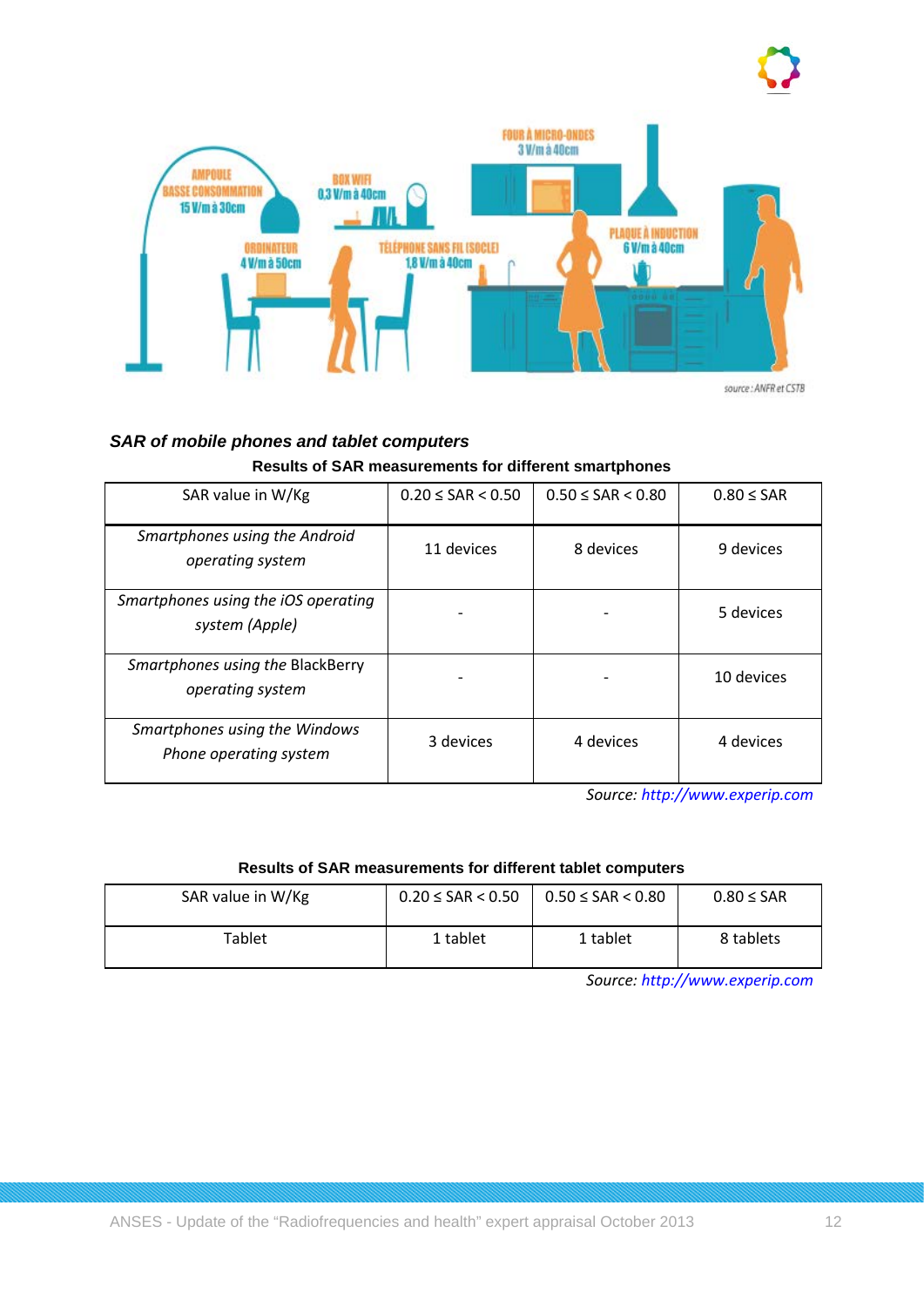

*SAR of mobile phones and tablet computers* **Results of SAR measurements for different smartphones**

| Results of SAR ineasurements for university smartphones |                                                            |  |  |  |  |  |
|---------------------------------------------------------|------------------------------------------------------------|--|--|--|--|--|
| $\Delta$ R value in $\Delta t/K\sigma$                  | $0.20 < \text{SAR} > 0.50$ 0.50 $<$ 0.50 $<$ 0.80 $<$ 0.80 |  |  |  |  |  |

| SAR value in W/Kg                                       | $0.20 \leq SAR < 0.50$ | $0.50 \leq SAR < 0.80$ | $0.80 \leq SAR$ |
|---------------------------------------------------------|------------------------|------------------------|-----------------|
| Smartphones using the Android<br>operating system       | 11 devices             | 8 devices              | 9 devices       |
| Smartphones using the iOS operating<br>system (Apple)   |                        |                        | 5 devices       |
| Smartphones using the BlackBerry<br>operating system    |                        |                        | 10 devices      |
| Smartphones using the Windows<br>Phone operating system | 3 devices              | 4 devices              | 4 devices       |

*Source: [http://www.experip.com](http://www.experip.com/)*

#### **Results of SAR measurements for different tablet computers**

| SAR value in W/Kg | $0.20 \leq SAR < 0.50$ | $0.50 \leq SAR < 0.80$ | $0.80 \leq SAR$ |
|-------------------|------------------------|------------------------|-----------------|
| Tablet            | 1 tablet               | 1 tablet               | 8 tablets       |

*Source: [http://www.experip.com](http://www.experip.com/)*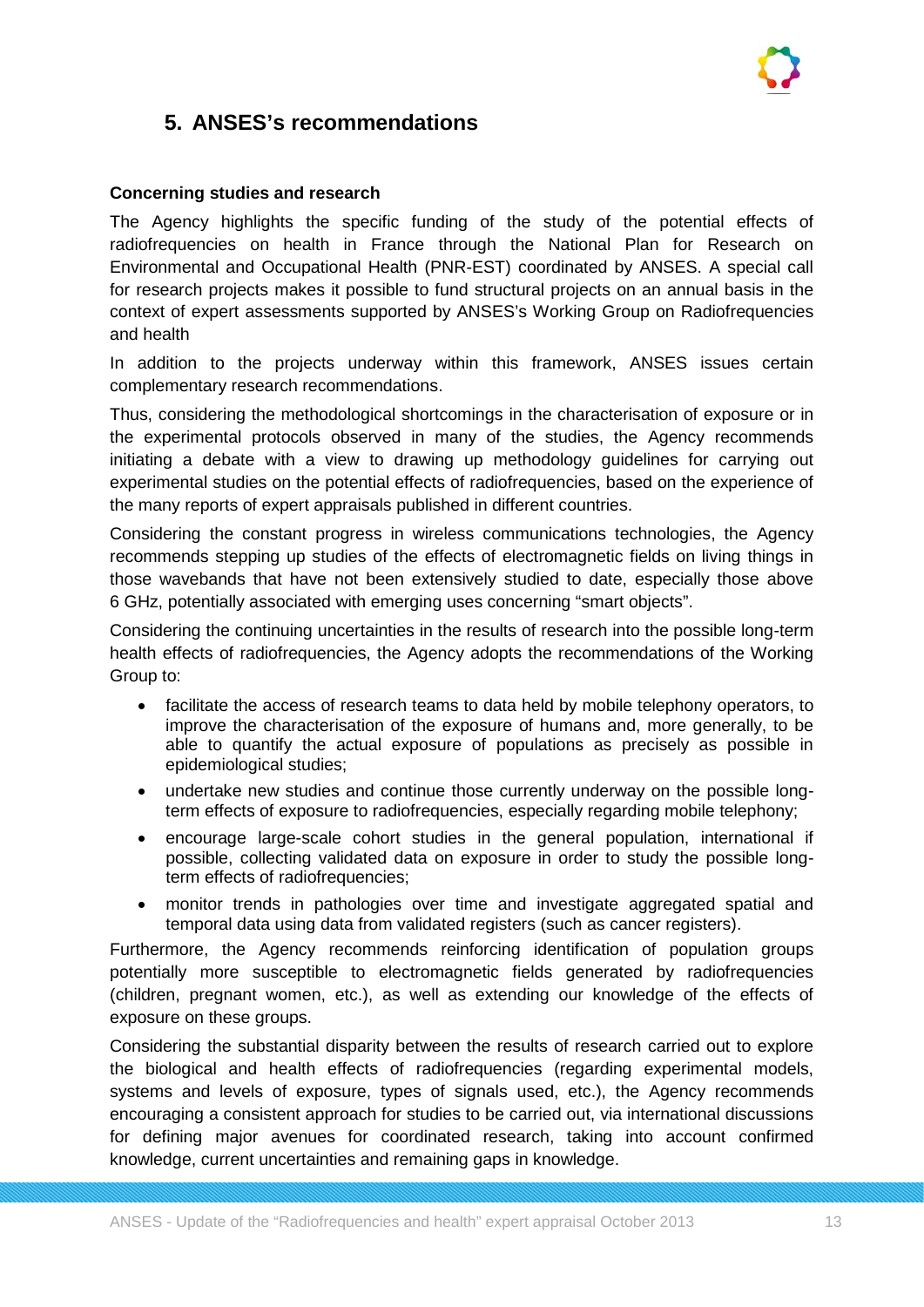## **5. ANSES's recommendations**

## **Concerning studies and research**

The Agency highlights the specific funding of the study of the potential effects of radiofrequencies on health in France through the National Plan for Research on Environmental and Occupational Health (PNR-EST) coordinated by ANSES. A special call for research projects makes it possible to fund structural projects on an annual basis in the context of expert assessments supported by ANSES's Working Group on Radiofrequencies and health

In addition to the projects underway within this framework, ANSES issues certain complementary research recommendations.

Thus, considering the methodological shortcomings in the characterisation of exposure or in the experimental protocols observed in many of the studies, the Agency recommends initiating a debate with a view to drawing up methodology guidelines for carrying out experimental studies on the potential effects of radiofrequencies, based on the experience of the many reports of expert appraisals published in different countries.

Considering the constant progress in wireless communications technologies, the Agency recommends stepping up studies of the effects of electromagnetic fields on living things in those wavebands that have not been extensively studied to date, especially those above 6 GHz, potentially associated with emerging uses concerning "smart objects".

Considering the continuing uncertainties in the results of research into the possible long-term health effects of radiofrequencies, the Agency adopts the recommendations of the Working Group to:

- facilitate the access of research teams to data held by mobile telephony operators, to improve the characterisation of the exposure of humans and, more generally, to be able to quantify the actual exposure of populations as precisely as possible in epidemiological studies;
- undertake new studies and continue those currently underway on the possible longterm effects of exposure to radiofrequencies, especially regarding mobile telephony;
- encourage large-scale cohort studies in the general population, international if possible, collecting validated data on exposure in order to study the possible longterm effects of radiofrequencies;
- monitor trends in pathologies over time and investigate aggregated spatial and temporal data using data from validated registers (such as cancer registers).

Furthermore, the Agency recommends reinforcing identification of population groups potentially more susceptible to electromagnetic fields generated by radiofrequencies (children, pregnant women, etc.), as well as extending our knowledge of the effects of exposure on these groups.

Considering the substantial disparity between the results of research carried out to explore the biological and health effects of radiofrequencies (regarding experimental models, systems and levels of exposure, types of signals used, etc.), the Agency recommends encouraging a consistent approach for studies to be carried out, via international discussions for defining major avenues for coordinated research, taking into account confirmed knowledge, current uncertainties and remaining gaps in knowledge.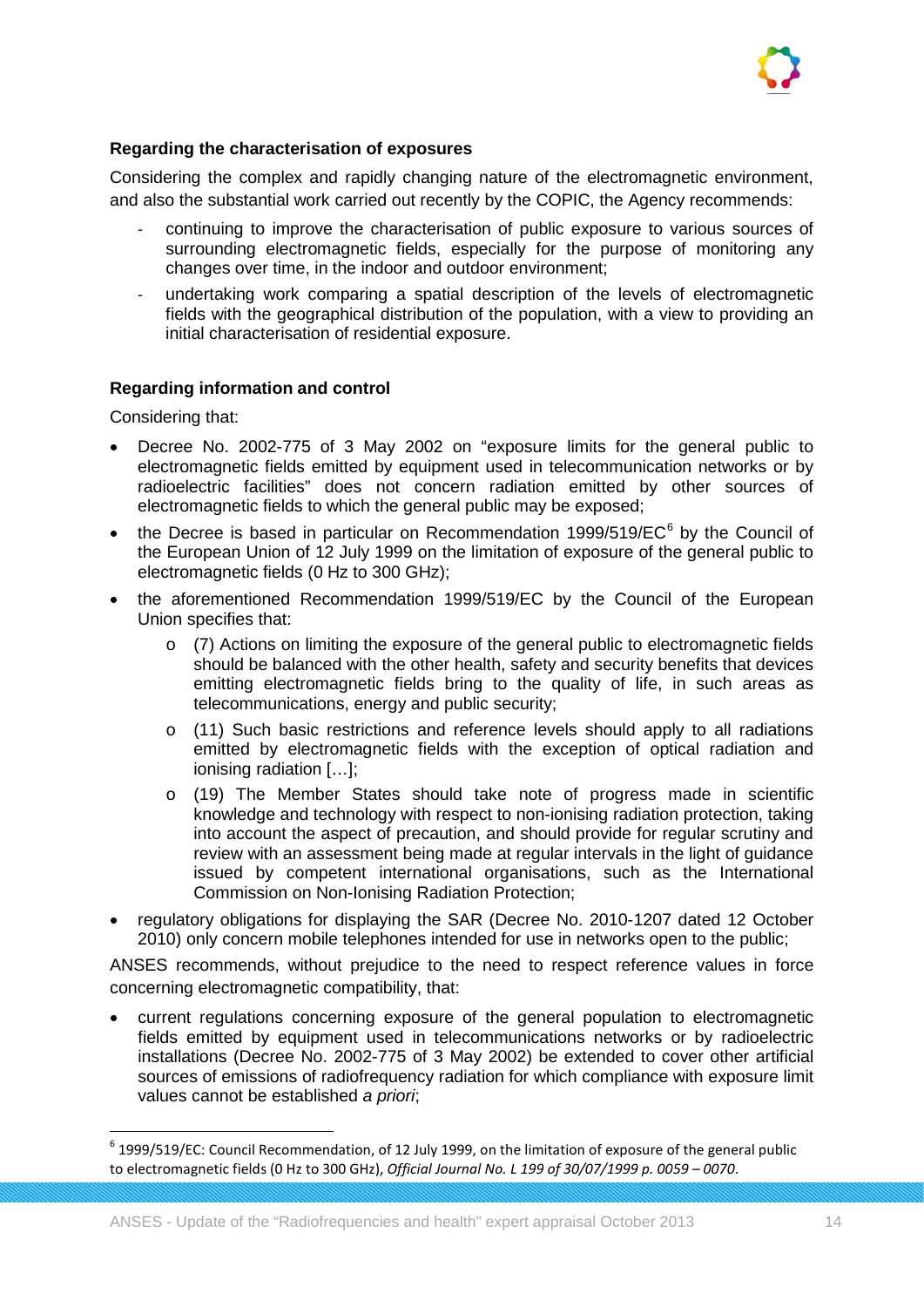

## **Regarding the characterisation of exposures**

Considering the complex and rapidly changing nature of the electromagnetic environment, and also the substantial work carried out recently by the COPIC, the Agency recommends:

- continuing to improve the characterisation of public exposure to various sources of surrounding electromagnetic fields, especially for the purpose of monitoring any changes over time, in the indoor and outdoor environment;
- undertaking work comparing a spatial description of the levels of electromagnetic fields with the geographical distribution of the population, with a view to providing an initial characterisation of residential exposure.

#### **Regarding information and control**

Considering that:

- Decree No. 2002-775 of 3 May 2002 on "exposure limits for the general public to electromagnetic fields emitted by equipment used in telecommunication networks or by radioelectric facilities" does not concern radiation emitted by other sources of electromagnetic fields to which the general public may be exposed;
- the Decree is based in particular on Recommendation 1999/519/ $EC<sup>6</sup>$  $EC<sup>6</sup>$  $EC<sup>6</sup>$  by the Council of the European Union of 12 July 1999 on the limitation of exposure of the general public to electromagnetic fields (0 Hz to 300 GHz);
- the aforementioned Recommendation 1999/519/EC by the Council of the European Union specifies that:
	- o (7) Actions on limiting the exposure of the general public to electromagnetic fields should be balanced with the other health, safety and security benefits that devices emitting electromagnetic fields bring to the quality of life, in such areas as telecommunications, energy and public security;
	- o (11) Such basic restrictions and reference levels should apply to all radiations emitted by electromagnetic fields with the exception of optical radiation and ionising radiation […];
	- o (19) The Member States should take note of progress made in scientific knowledge and technology with respect to non-ionising radiation protection, taking into account the aspect of precaution, and should provide for regular scrutiny and review with an assessment being made at regular intervals in the light of guidance issued by competent international organisations, such as the International Commission on Non-Ionising Radiation Protection;
- regulatory obligations for displaying the SAR (Decree No. 2010-1207 dated 12 October 2010) only concern mobile telephones intended for use in networks open to the public;

ANSES recommends, without prejudice to the need to respect reference values in force concerning electromagnetic compatibility, that:

• current regulations concerning exposure of the general population to electromagnetic fields emitted by equipment used in telecommunications networks or by radioelectric installations (Decree No. 2002-775 of 3 May 2002) be extended to cover other artificial sources of emissions of radiofrequency radiation for which compliance with exposure limit values cannot be established *a priori*;

<span id="page-14-0"></span> $6$  1999/519/EC: Council Recommendation, of 12 July 1999, on the limitation of exposure of the general public to electromagnetic fields (0 Hz to 300 GHz), *Official Journal No. L 199 of 30/07/1999 p. 0059 – 0070*.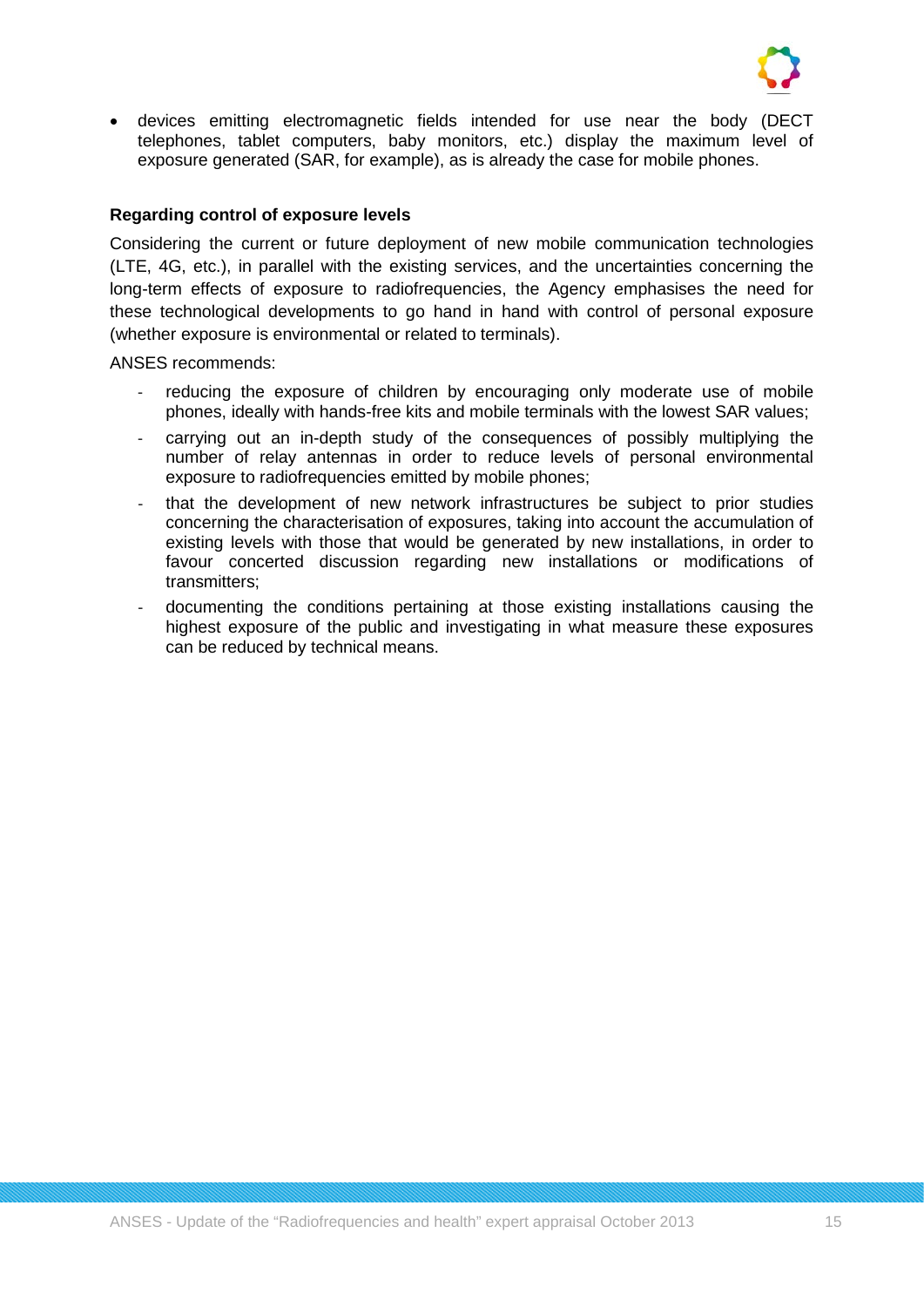

• devices emitting electromagnetic fields intended for use near the body (DECT telephones, tablet computers, baby monitors, etc.) display the maximum level of exposure generated (SAR, for example), as is already the case for mobile phones.

## **Regarding control of exposure levels**

Considering the current or future deployment of new mobile communication technologies (LTE, 4G, etc.), in parallel with the existing services, and the uncertainties concerning the long-term effects of exposure to radiofrequencies, the Agency emphasises the need for these technological developments to go hand in hand with control of personal exposure (whether exposure is environmental or related to terminals).

ANSES recommends:

- reducing the exposure of children by encouraging only moderate use of mobile phones, ideally with hands-free kits and mobile terminals with the lowest SAR values;
- carrying out an in-depth study of the consequences of possibly multiplying the number of relay antennas in order to reduce levels of personal environmental exposure to radiofrequencies emitted by mobile phones;
- that the development of new network infrastructures be subject to prior studies concerning the characterisation of exposures, taking into account the accumulation of existing levels with those that would be generated by new installations, in order to favour concerted discussion regarding new installations or modifications of transmitters;
- documenting the conditions pertaining at those existing installations causing the highest exposure of the public and investigating in what measure these exposures can be reduced by technical means.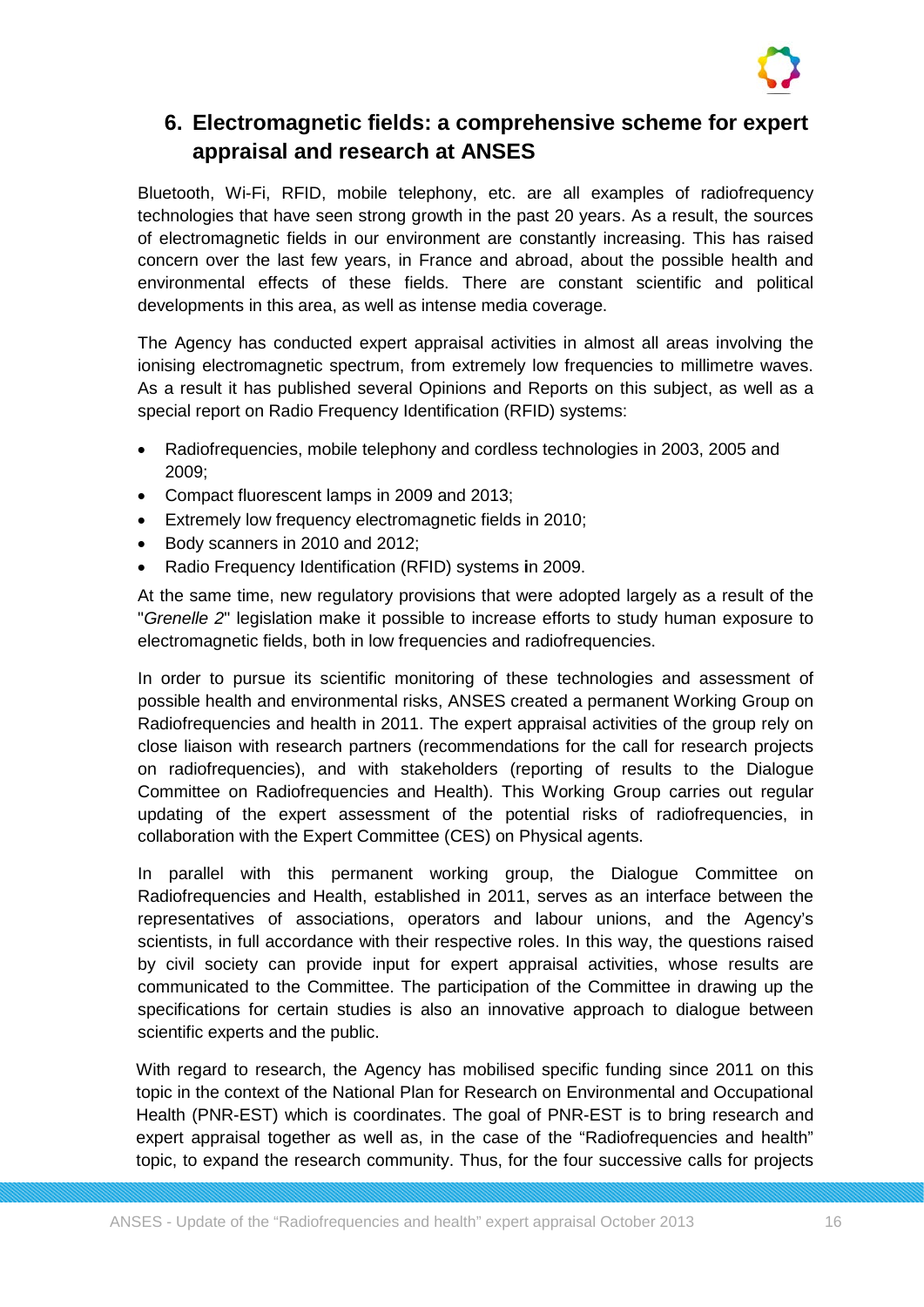

## **6. Electromagnetic fields: a comprehensive scheme for expert appraisal and research at ANSES**

Bluetooth, Wi-Fi, RFID, mobile telephony, etc. are all examples of radiofrequency technologies that have seen strong growth in the past 20 years. As a result, the sources of electromagnetic fields in our environment are constantly increasing. This has raised concern over the last few years, in France and abroad, about the possible health and environmental effects of these fields. There are constant scientific and political developments in this area, as well as intense media coverage.

The Agency has conducted expert appraisal activities in almost all areas involving the ionising electromagnetic spectrum, from extremely low frequencies to millimetre waves. As a result it has published several Opinions and Reports on this subject, as well as a special report on Radio Frequency Identification (RFID) systems:

- Radiofrequencies, mobile telephony and cordless technologies in 2003, 2005 and 2009;
- Compact fluorescent lamps in 2009 and 2013;
- Extremely low frequency electromagnetic fields in 2010;
- Body scanners in 2010 and 2012;
- Radio Frequency Identification (RFID) systems **i**n 2009.

At the same time, new regulatory provisions that were adopted largely as a result of the "*Grenelle 2*" legislation make it possible to increase efforts to study human exposure to electromagnetic fields, both in low frequencies and radiofrequencies.

In order to pursue its scientific monitoring of these technologies and assessment of possible health and environmental risks, ANSES created a permanent Working Group on Radiofrequencies and health in 2011. The expert appraisal activities of the group rely on close liaison with research partners (recommendations for the call for research projects on radiofrequencies), and with stakeholders (reporting of results to the Dialogue Committee on Radiofrequencies and Health). This Working Group carries out regular updating of the expert assessment of the potential risks of radiofrequencies, in collaboration with the Expert Committee (CES) on Physical agents.

In parallel with this permanent working group, the Dialogue Committee on Radiofrequencies and Health, established in 2011, serves as an interface between the representatives of associations, operators and labour unions, and the Agency's scientists, in full accordance with their respective roles. In this way, the questions raised by civil society can provide input for expert appraisal activities, whose results are communicated to the Committee. The participation of the Committee in drawing up the specifications for certain studies is also an innovative approach to dialogue between scientific experts and the public.

With regard to research, the Agency has mobilised specific funding since 2011 on this topic in the context of the National Plan for Research on Environmental and Occupational Health (PNR-EST) which is coordinates. The goal of PNR-EST is to bring research and expert appraisal together as well as, in the case of the "Radiofrequencies and health" topic, to expand the research community. Thus, for the four successive calls for projects